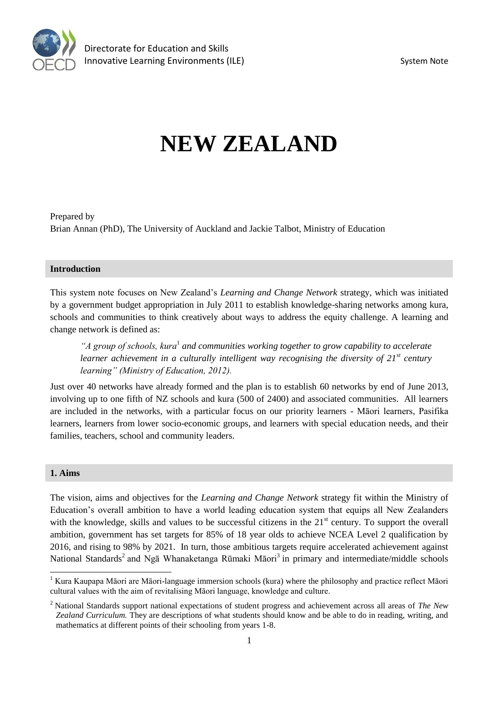

# **NEW ZEALAND**

Prepared by Brian Annan (PhD), The University of Auckland and Jackie Talbot, Ministry of Education

## **Introduction**

This system note focuses on New Zealand's *Learning and Change Network* strategy, which was initiated by a government budget appropriation in July 2011 to establish knowledge-sharing networks among kura, schools and communities to think creatively about ways to address the equity challenge. A learning and change network is defined as:

*"A group of schools, kura*<sup>1</sup> *and communities working together to grow capability to accelerate learner achievement in a culturally intelligent way recognising the diversity of 21st century learning" (Ministry of Education, 2012).*

Just over 40 networks have already formed and the plan is to establish 60 networks by end of June 2013, involving up to one fifth of NZ schools and kura (500 of 2400) and associated communities. All learners are included in the networks, with a particular focus on our priority learners - Māori learners, Pasifika learners, learners from lower socio-economic groups, and learners with special education needs, and their families, teachers, school and community leaders.

#### **1. Aims**

 $\overline{a}$ 

The vision, aims and objectives for the *Learning and Change Network* strategy fit within the Ministry of Education's overall ambition to have a world leading education system that equips all New Zealanders with the knowledge, skills and values to be successful citizens in the 21<sup>st</sup> century. To support the overall ambition, government has set targets for 85% of 18 year olds to achieve NCEA Level 2 qualification by 2016, and rising to 98% by 2021. In turn, those ambitious targets require accelerated achievement against National Standards<sup>2</sup> and Ngā Whanaketanga Rūmaki Māori<sup>3</sup> in primary and intermediate/middle schools

 $1$  Kura Kaupapa Māori are Māori-language immersion schools (kura) where the philosophy and practice reflect Māori cultural values with the aim of revitalising Māori language, knowledge and culture.

<sup>2</sup> National Standards support national expectations of student progress and achievement across all areas of *The New Zealand Curriculum.* They are descriptions of what students should know and be able to do in reading, writing, and mathematics at different points of their schooling from years 1-8.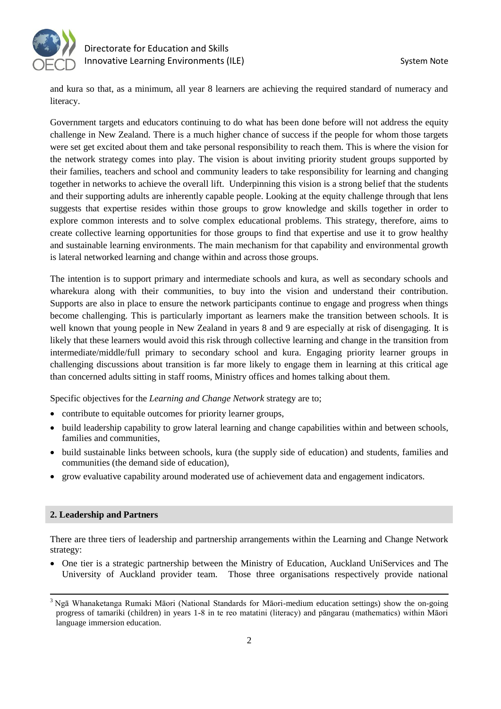

and kura so that, as a minimum, all year 8 learners are achieving the required standard of numeracy and literacy.

Government targets and educators continuing to do what has been done before will not address the equity challenge in New Zealand. There is a much higher chance of success if the people for whom those targets were set get excited about them and take personal responsibility to reach them. This is where the vision for the network strategy comes into play. The vision is about inviting priority student groups supported by their families, teachers and school and community leaders to take responsibility for learning and changing together in networks to achieve the overall lift. Underpinning this vision is a strong belief that the students and their supporting adults are inherently capable people. Looking at the equity challenge through that lens suggests that expertise resides within those groups to grow knowledge and skills together in order to explore common interests and to solve complex educational problems. This strategy, therefore, aims to create collective learning opportunities for those groups to find that expertise and use it to grow healthy and sustainable learning environments. The main mechanism for that capability and environmental growth is lateral networked learning and change within and across those groups.

The intention is to support primary and intermediate schools and kura, as well as secondary schools and wharekura along with their communities, to buy into the vision and understand their contribution. Supports are also in place to ensure the network participants continue to engage and progress when things become challenging. This is particularly important as learners make the transition between schools. It is well known that young people in New Zealand in years 8 and 9 are especially at risk of disengaging. It is likely that these learners would avoid this risk through collective learning and change in the transition from intermediate/middle/full primary to secondary school and kura. Engaging priority learner groups in challenging discussions about transition is far more likely to engage them in learning at this critical age than concerned adults sitting in staff rooms, Ministry offices and homes talking about them.

Specific objectives for the *Learning and Change Network* strategy are to;

- contribute to equitable outcomes for priority learner groups,
- build leadership capability to grow lateral learning and change capabilities within and between schools, families and communities,
- build sustainable links between schools, kura (the supply side of education) and students, families and communities (the demand side of education),
- grow evaluative capability around moderated use of achievement data and engagement indicators.

## **2. Leadership and Partners**

There are three tiers of leadership and partnership arrangements within the Learning and Change Network strategy:

 One tier is a strategic partnership between the Ministry of Education, Auckland UniServices and The University of Auckland provider team. Those three organisations respectively provide national

 $\overline{a}$ <sup>3</sup> Ngā Whanaketanga Rumaki Māori (National Standards for Māori-medium education settings) show the on-going progress of tamariki (children) in years 1-8 in te reo matatini (literacy) and pāngarau (mathematics) within Māori language immersion education.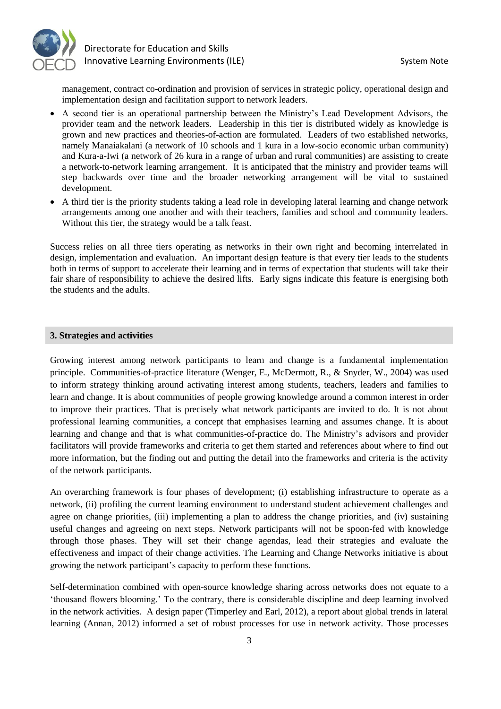

management, contract co-ordination and provision of services in strategic policy, operational design and implementation design and facilitation support to network leaders.

- A second tier is an operational partnership between the Ministry's Lead Development Advisors, the provider team and the network leaders. Leadership in this tier is distributed widely as knowledge is grown and new practices and theories-of-action are formulated. Leaders of two established networks, namely Manaiakalani (a network of 10 schools and 1 kura in a low-socio economic urban community) and Kura-a-Iwi (a network of 26 kura in a range of urban and rural communities) are assisting to create a network-to-network learning arrangement. It is anticipated that the ministry and provider teams will step backwards over time and the broader networking arrangement will be vital to sustained development.
- A third tier is the priority students taking a lead role in developing lateral learning and change network arrangements among one another and with their teachers, families and school and community leaders. Without this tier, the strategy would be a talk feast.

Success relies on all three tiers operating as networks in their own right and becoming interrelated in design, implementation and evaluation. An important design feature is that every tier leads to the students both in terms of support to accelerate their learning and in terms of expectation that students will take their fair share of responsibility to achieve the desired lifts. Early signs indicate this feature is energising both the students and the adults.

#### **3. Strategies and activities**

Growing interest among network participants to learn and change is a fundamental implementation principle. Communities-of-practice literature (Wenger, E., McDermott, R., & Snyder, W., 2004) was used to inform strategy thinking around activating interest among students, teachers, leaders and families to learn and change. It is about communities of people growing knowledge around a common interest in order to improve their practices. That is precisely what network participants are invited to do. It is not about professional learning communities, a concept that emphasises learning and assumes change. It is about learning and change and that is what communities-of-practice do. The Ministry's advisors and provider facilitators will provide frameworks and criteria to get them started and references about where to find out more information, but the finding out and putting the detail into the frameworks and criteria is the activity of the network participants.

An overarching framework is four phases of development; (i) establishing infrastructure to operate as a network, (ii) profiling the current learning environment to understand student achievement challenges and agree on change priorities, (iii) implementing a plan to address the change priorities, and (iv) sustaining useful changes and agreeing on next steps. Network participants will not be spoon-fed with knowledge through those phases. They will set their change agendas, lead their strategies and evaluate the effectiveness and impact of their change activities. The Learning and Change Networks initiative is about growing the network participant's capacity to perform these functions.

Self-determination combined with open-source knowledge sharing across networks does not equate to a 'thousand flowers blooming.' To the contrary, there is considerable discipline and deep learning involved in the network activities. A design paper (Timperley and Earl, 2012), a report about global trends in lateral learning (Annan, 2012) informed a set of robust processes for use in network activity. Those processes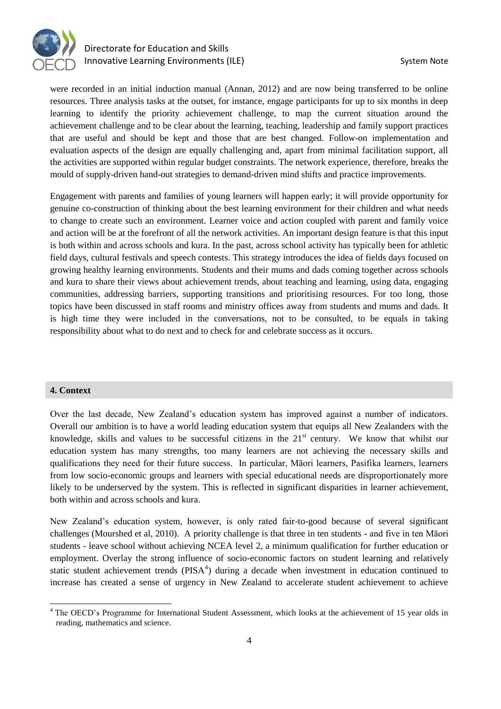

were recorded in an initial induction manual (Annan, 2012) and are now being transferred to be online resources. Three analysis tasks at the outset, for instance, engage participants for up to six months in deep learning to identify the priority achievement challenge, to map the current situation around the achievement challenge and to be clear about the learning, teaching, leadership and family support practices that are useful and should be kept and those that are best changed. Follow-on implementation and evaluation aspects of the design are equally challenging and, apart from minimal facilitation support, all the activities are supported within regular budget constraints. The network experience, therefore, breaks the mould of supply-driven hand-out strategies to demand-driven mind shifts and practice improvements.

Engagement with parents and families of young learners will happen early; it will provide opportunity for genuine co-construction of thinking about the best learning environment for their children and what needs to change to create such an environment. Learner voice and action coupled with parent and family voice and action will be at the forefront of all the network activities. An important design feature is that this input is both within and across schools and kura. In the past, across school activity has typically been for athletic field days, cultural festivals and speech contests. This strategy introduces the idea of fields days focused on growing healthy learning environments. Students and their mums and dads coming together across schools and kura to share their views about achievement trends, about teaching and learning, using data, engaging communities, addressing barriers, supporting transitions and prioritising resources. For too long, those topics have been discussed in staff rooms and ministry offices away from students and mums and dads. It is high time they were included in the conversations, not to be consulted, to be equals in taking responsibility about what to do next and to check for and celebrate success as it occurs.

## **4. Context**

Over the last decade, New Zealand's education system has improved against a number of indicators. Overall our ambition is to have a world leading education system that equips all New Zealanders with the knowledge, skills and values to be successful citizens in the  $21<sup>st</sup>$  century. We know that whilst our education system has many strengths, too many learners are not achieving the necessary skills and qualifications they need for their future success. In particular, Māori learners, Pasifika learners, learners from low socio-economic groups and learners with special educational needs are disproportionately more likely to be underserved by the system. This is reflected in significant disparities in learner achievement, both within and across schools and kura.

New Zealand's education system, however, is only rated fair-to-good because of several significant challenges (Mourshed et al, 2010). A priority challenge is that three in ten students - and five in ten Māori students - leave school without achieving NCEA level 2, a minimum qualification for further education or employment. Overlay the strong influence of socio-economic factors on student learning and relatively static student achievement trends ( $PISA<sup>4</sup>$ ) during a decade when investment in education continued to increase has created a sense of urgency in New Zealand to accelerate student achievement to achieve

<sup>&</sup>lt;sup>4</sup> The OECD's Programme for International Student Assessment, which looks at the achievement of 15 year olds in reading, mathematics and science.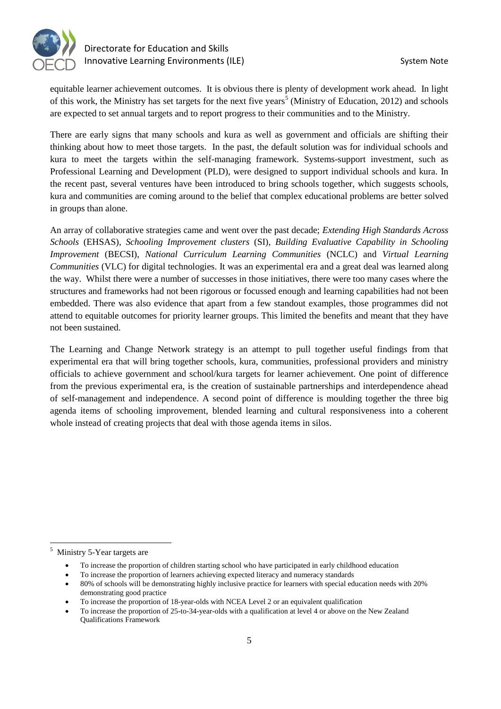

equitable learner achievement outcomes. It is obvious there is plenty of development work ahead. In light of this work, the Ministry has set targets for the next five years<sup>5</sup> (Ministry of Education, 2012) and schools are expected to set annual targets and to report progress to their communities and to the Ministry.

There are early signs that many schools and kura as well as government and officials are shifting their thinking about how to meet those targets. In the past, the default solution was for individual schools and kura to meet the targets within the self-managing framework. Systems-support investment, such as Professional Learning and Development (PLD), were designed to support individual schools and kura. In the recent past, several ventures have been introduced to bring schools together, which suggests schools, kura and communities are coming around to the belief that complex educational problems are better solved in groups than alone.

An array of collaborative strategies came and went over the past decade; *Extending High Standards Across Schools* (EHSAS), *Schooling Improvement clusters* (SI), *Building Evaluative Capability in Schooling Improvement* (BECSI), *National Curriculum Learning Communities* (NCLC) and *Virtual Learning Communities* (VLC) for digital technologies. It was an experimental era and a great deal was learned along the way. Whilst there were a number of successes in those initiatives, there were too many cases where the structures and frameworks had not been rigorous or focussed enough and learning capabilities had not been embedded. There was also evidence that apart from a few standout examples, those programmes did not attend to equitable outcomes for priority learner groups. This limited the benefits and meant that they have not been sustained.

The Learning and Change Network strategy is an attempt to pull together useful findings from that experimental era that will bring together schools, kura, communities, professional providers and ministry officials to achieve government and school/kura targets for learner achievement. One point of difference from the previous experimental era, is the creation of sustainable partnerships and interdependence ahead of self-management and independence. A second point of difference is moulding together the three big agenda items of schooling improvement, blended learning and cultural responsiveness into a coherent whole instead of creating projects that deal with those agenda items in silos.

 5 Ministry 5-Year targets are

To increase the proportion of children starting school who have participated in early childhood education

To increase the proportion of learners achieving expected literacy and numeracy standards

80% of schools will be demonstrating highly inclusive practice for learners with special education needs with 20% demonstrating good practice

To increase the proportion of 18-year-olds with NCEA Level 2 or an equivalent qualification

To increase the proportion of 25-to-34-year-olds with a qualification at level 4 or above on the New Zealand Qualifications Framework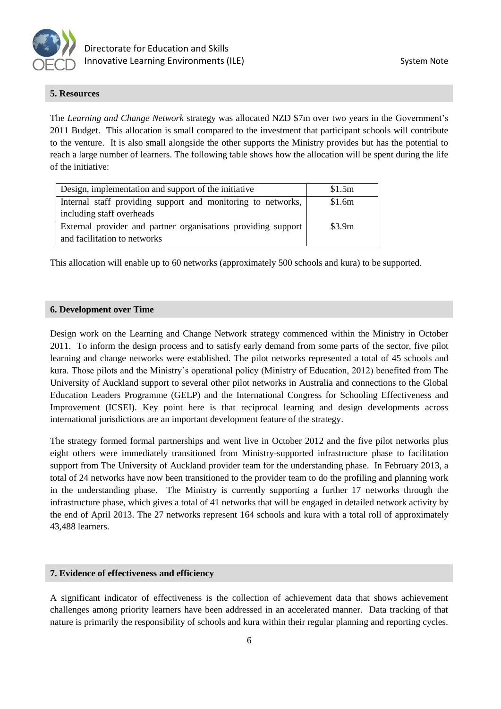

## **5. Resources**

The *Learning and Change Network* strategy was allocated NZD \$7m over two years in the Government's 2011 Budget. This allocation is small compared to the investment that participant schools will contribute to the venture. It is also small alongside the other supports the Ministry provides but has the potential to reach a large number of learners. The following table shows how the allocation will be spent during the life of the initiative:

| Design, implementation and support of the initiative          | \$1.5m |
|---------------------------------------------------------------|--------|
| Internal staff providing support and monitoring to networks,  | \$1.6m |
| including staff overheads                                     |        |
| External provider and partner organisations providing support | \$3.9m |
| and facilitation to networks                                  |        |

This allocation will enable up to 60 networks (approximately 500 schools and kura) to be supported.

## **6. Development over Time**

Design work on the Learning and Change Network strategy commenced within the Ministry in October 2011. To inform the design process and to satisfy early demand from some parts of the sector, five pilot learning and change networks were established. The pilot networks represented a total of 45 schools and kura. Those pilots and the Ministry's operational policy (Ministry of Education, 2012) benefited from The University of Auckland support to several other pilot networks in Australia and connections to the Global Education Leaders Programme (GELP) and the International Congress for Schooling Effectiveness and Improvement (ICSEI). Key point here is that reciprocal learning and design developments across international jurisdictions are an important development feature of the strategy.

The strategy formed formal partnerships and went live in October 2012 and the five pilot networks plus eight others were immediately transitioned from Ministry-supported infrastructure phase to facilitation support from The University of Auckland provider team for the understanding phase. In February 2013, a total of 24 networks have now been transitioned to the provider team to do the profiling and planning work in the understanding phase. The Ministry is currently supporting a further 17 networks through the infrastructure phase, which gives a total of 41 networks that will be engaged in detailed network activity by the end of April 2013. The 27 networks represent 164 schools and kura with a total roll of approximately 43,488 learners.

## **7. Evidence of effectiveness and efficiency**

A significant indicator of effectiveness is the collection of achievement data that shows achievement challenges among priority learners have been addressed in an accelerated manner. Data tracking of that nature is primarily the responsibility of schools and kura within their regular planning and reporting cycles.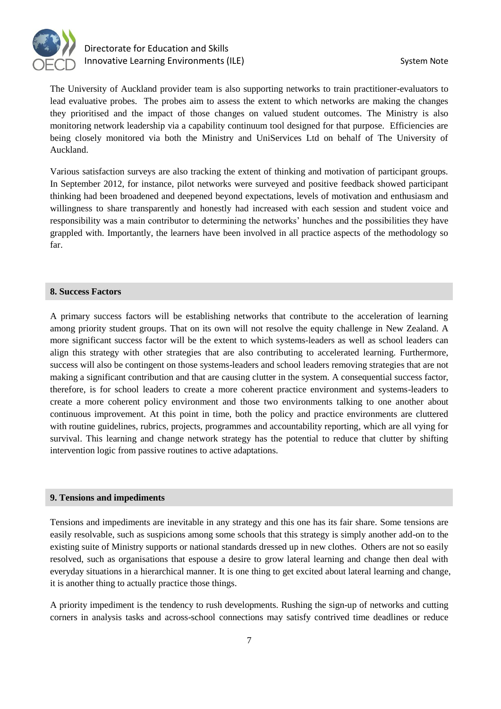

The University of Auckland provider team is also supporting networks to train practitioner-evaluators to lead evaluative probes. The probes aim to assess the extent to which networks are making the changes they prioritised and the impact of those changes on valued student outcomes. The Ministry is also monitoring network leadership via a capability continuum tool designed for that purpose. Efficiencies are being closely monitored via both the Ministry and UniServices Ltd on behalf of The University of Auckland.

Various satisfaction surveys are also tracking the extent of thinking and motivation of participant groups. In September 2012, for instance, pilot networks were surveyed and positive feedback showed participant thinking had been broadened and deepened beyond expectations, levels of motivation and enthusiasm and willingness to share transparently and honestly had increased with each session and student voice and responsibility was a main contributor to determining the networks' hunches and the possibilities they have grappled with. Importantly, the learners have been involved in all practice aspects of the methodology so far.

## **8. Success Factors**

A primary success factors will be establishing networks that contribute to the acceleration of learning among priority student groups. That on its own will not resolve the equity challenge in New Zealand. A more significant success factor will be the extent to which systems-leaders as well as school leaders can align this strategy with other strategies that are also contributing to accelerated learning. Furthermore, success will also be contingent on those systems-leaders and school leaders removing strategies that are not making a significant contribution and that are causing clutter in the system. A consequential success factor, therefore, is for school leaders to create a more coherent practice environment and systems-leaders to create a more coherent policy environment and those two environments talking to one another about continuous improvement. At this point in time, both the policy and practice environments are cluttered with routine guidelines, rubrics, projects, programmes and accountability reporting, which are all vying for survival. This learning and change network strategy has the potential to reduce that clutter by shifting intervention logic from passive routines to active adaptations.

## **9. Tensions and impediments**

Tensions and impediments are inevitable in any strategy and this one has its fair share. Some tensions are easily resolvable, such as suspicions among some schools that this strategy is simply another add-on to the existing suite of Ministry supports or national standards dressed up in new clothes. Others are not so easily resolved, such as organisations that espouse a desire to grow lateral learning and change then deal with everyday situations in a hierarchical manner. It is one thing to get excited about lateral learning and change, it is another thing to actually practice those things.

A priority impediment is the tendency to rush developments. Rushing the sign-up of networks and cutting corners in analysis tasks and across-school connections may satisfy contrived time deadlines or reduce